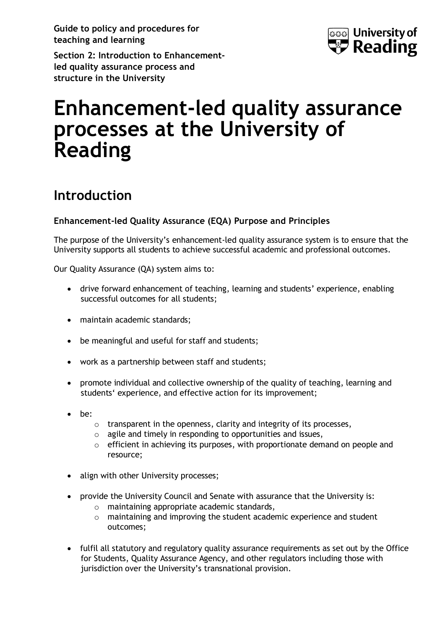**Guide to policy and procedures for teaching and learning**



**Section 2: Introduction to Enhancementled quality assurance process and structure in the University** 

# **Enhancement-led quality assurance processes at the University of Reading**

# **Introduction**

#### **Enhancement-led Quality Assurance (EQA) Purpose and Principles**

The purpose of the University's enhancement-led quality assurance system is to ensure that the University supports all students to achieve successful academic and professional outcomes.

Our Quality Assurance (QA) system aims to:

- drive forward enhancement of teaching, learning and students' experience, enabling successful outcomes for all students;
- maintain academic standards;
- be meaningful and useful for staff and students;
- work as a partnership between staff and students;
- promote individual and collective ownership of the quality of teaching, learning and students' experience, and effective action for its improvement;
- be:
	- o transparent in the openness, clarity and integrity of its processes,
	- o agile and timely in responding to opportunities and issues,
	- $\circ$  efficient in achieving its purposes, with proportionate demand on people and resource;
- align with other University processes;
- provide the University Council and Senate with assurance that the University is:
	- o maintaining appropriate academic standards,
	- o maintaining and improving the student academic experience and student outcomes;
- fulfil all statutory and regulatory quality assurance requirements as set out by the Office for Students, Quality Assurance Agency, and other regulators including those with jurisdiction over the University's transnational provision.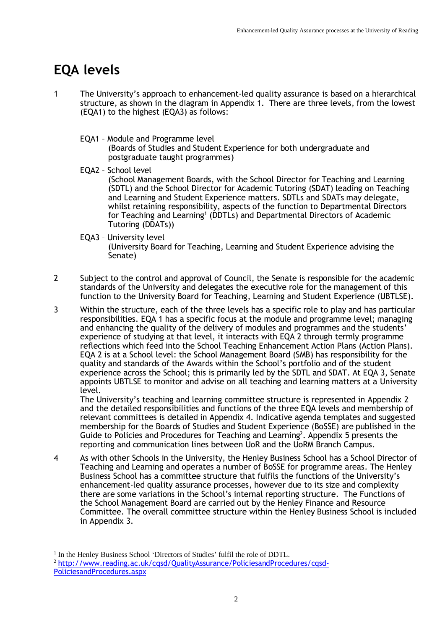# **EQA levels**

- 1 The University's approach to enhancement-led quality assurance is based on a hierarchical structure, as shown in the diagram in Appendix 1. There are three levels, from the lowest (EQA1) to the highest (EQA3) as follows:
	- EQA1 Module and Programme level (Boards of Studies and Student Experience for both undergraduate and postgraduate taught programmes)
	- EQA2 School level (School Management Boards, with the School Director for Teaching and Learning (SDTL) and the School Director for Academic Tutoring (SDAT) leading on Teaching and Learning and Student Experience matters. SDTLs and SDATs may delegate, whilst retaining responsibility, aspects of the function to Departmental Directors for Teaching and Learning<sup>1</sup> (DDTLs) and Departmental Directors of Academic Tutoring (DDATs))
	- EQA3 University level (University Board for Teaching, Learning and Student Experience advising the Senate)
- 2 Subject to the control and approval of Council, the Senate is responsible for the academic standards of the University and delegates the executive role for the management of this function to the University Board for Teaching, Learning and Student Experience (UBTLSE).
- 3 Within the structure, each of the three levels has a specific role to play and has particular responsibilities. EQA 1 has a specific focus at the module and programme level; managing and enhancing the quality of the delivery of modules and programmes and the students' experience of studying at that level, it interacts with EQA 2 through termly programme reflections which feed into the School Teaching Enhancement Action Plans (Action Plans). EQA 2 is at a School level: the School Management Board (SMB) has responsibility for the quality and standards of the Awards within the School's portfolio and of the student experience across the School; this is primarily led by the SDTL and SDAT. At EQA 3, Senate appoints UBTLSE to monitor and advise on all teaching and learning matters at a University level.

The University's teaching and learning committee structure is represented in Appendix 2 and the detailed responsibilities and functions of the three EQA levels and membership of relevant committees is detailed in Appendix 4. Indicative agenda templates and suggested membership for the Boards of Studies and Student Experience (BoSSE) are published in the Guide to Policies and Procedures for Teaching and Learning<sup>2</sup>. Appendix 5 presents the reporting and communication lines between UoR and the UoRM Branch Campus.

4 As with other Schools in the University, the Henley Business School has a School Director of Teaching and Learning and operates a number of BoSSE for programme areas. The Henley Business School has a committee structure that fulfils the functions of the University's enhancement-led quality assurance processes, however due to its size and complexity there are some variations in the School's internal reporting structure. The Functions of the School Management Board are carried out by the Henley Finance and Resource Committee. The overall committee structure within the Henley Business School is included in Appendix 3.

<sup>&</sup>lt;sup>1</sup> In the Henley Business School 'Directors of Studies' fulfil the role of DDTL.

<sup>2</sup> [http://www.reading.ac.uk/cqsd/QualityAssurance/PoliciesandProcedures/cqsd-](http://www.reading.ac.uk/cqsd/QualityAssurance/PoliciesandProcedures/cqsd-PoliciesandProcedures.aspx)[PoliciesandProcedures.aspx](http://www.reading.ac.uk/cqsd/QualityAssurance/PoliciesandProcedures/cqsd-PoliciesandProcedures.aspx)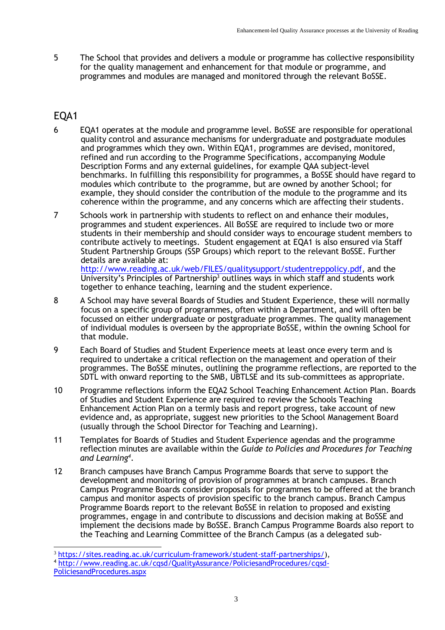5 The School that provides and delivers a module or programme has collective responsibility for the quality management and enhancement for that module or programme, and programmes and modules are managed and monitored through the relevant BoSSE.

## EQA1

- 6 EQA1 operates at the module and programme level. BoSSE are responsible for operational quality control and assurance mechanisms for undergraduate and postgraduate modules and programmes which they own. Within EQA1, programmes are devised, monitored, refined and run according to the Programme Specifications, accompanying Module Description Forms and any external guidelines, for example QAA subject-level benchmarks. In fulfilling this responsibility for programmes, a BoSSE should have regard to modules which contribute to the programme, but are owned by another School; for example, they should consider the contribution of the module to the programme and its coherence within the programme, and any concerns which are affecting their students.
- 7 Schools work in partnership with students to reflect on and enhance their modules, programmes and student experiences. All BoSSE are required to include two or more students in their membership and should consider ways to encourage student members to contribute actively to meetings. Student engagement at EQA1 is also ensured via Staff Student Partnership Groups (SSP Groups) which report to the relevant BoSSE. Further details are available at: [http://www.reading.ac.uk/web/FILES/qualitysupport/studentreppolicy.pdf,](http://www.reading.ac.uk/web/FILES/qualitysupport/studentreppolicy.pdf) and the University's Principles of Partnership<sup>3</sup> outlines ways in which staff and students work together to enhance teaching, learning and the student experience.
- 8 A School may have several Boards of Studies and Student Experience, these will normally focus on a specific group of programmes, often within a Department, and will often be focussed on either undergraduate or postgraduate programmes. The quality management of individual modules is overseen by the appropriate BoSSE, within the owning School for that module.
- 9 Each Board of Studies and Student Experience meets at least once every term and is required to undertake a critical reflection on the management and operation of their programmes. The BoSSE minutes, outlining the programme reflections, are reported to the SDTL with onward reporting to the SMB, UBTLSE and its sub-committees as appropriate.
- 10 Programme reflections inform the EQA2 School Teaching Enhancement Action Plan. Boards of Studies and Student Experience are required to review the Schools Teaching Enhancement Action Plan on a termly basis and report progress, take account of new evidence and, as appropriate, suggest new priorities to the School Management Board (usually through the School Director for Teaching and Learning).
- 11 Templates for Boards of Studies and Student Experience agendas and the programme reflection minutes are available within the *Guide to Policies and Procedures for Teaching and Learning<sup>4</sup>* .
- 12 Branch campuses have Branch Campus Programme Boards that serve to support the development and monitoring of provision of programmes at branch campuses. Branch Campus Programme Boards consider proposals for programmes to be offered at the branch campus and monitor aspects of provision specific to the branch campus. Branch Campus Programme Boards report to the relevant BoSSE in relation to proposed and existing programmes, engage in and contribute to discussions and decision making at BoSSE and implement the decisions made by BoSSE. Branch Campus Programme Boards also report to the Teaching and Learning Committee of the Branch Campus (as a delegated sub-

<sup>3</sup> [https://sites.reading.ac.uk/curriculum-framework/student-staff-partnerships/\)](https://sites.reading.ac.uk/curriculum-framework/student-staff-partnerships/),

<sup>4</sup> [http://www.reading.ac.uk/cqsd/QualityAssurance/PoliciesandProcedures/cqsd-](http://www.reading.ac.uk/cqsd/QualityAssurance/PoliciesandProcedures/cqsd-PoliciesandProcedures.aspx)

[PoliciesandProcedures.aspx](http://www.reading.ac.uk/cqsd/QualityAssurance/PoliciesandProcedures/cqsd-PoliciesandProcedures.aspx)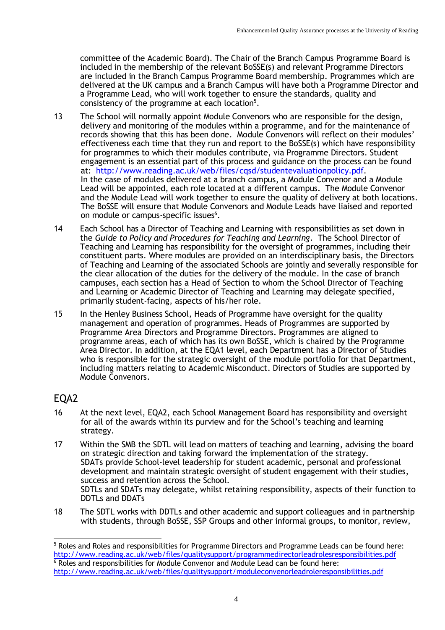committee of the Academic Board). The Chair of the Branch Campus Programme Board is included in the membership of the relevant BoSSE(s) and relevant Programme Directors are included in the Branch Campus Programme Board membership. Programmes which are delivered at the UK campus and a Branch Campus will have both a Programme Director and a Programme Lead, who will work together to ensure the standards, quality and consistency of the programme at each location $^5$ .

- 13 The School will normally appoint Module Convenors who are responsible for the design, delivery and monitoring of the modules within a programme, and for the maintenance of records showing that this has been done. Module Convenors will reflect on their modules' effectiveness each time that they run and report to the BoSSE(s) which have responsibility for programmes to which their modules contribute, via Programme Directors. Student engagement is an essential part of this process and guidance on the process can be found at: [http://www.reading.ac.uk/web/files/cqsd/studentevaluationpolicy.pdf.](http://www.reading.ac.uk/web/files/cqsd/studentevaluationpolicy.pdf) In the case of modules delivered at a branch campus, a Module Convenor and a Module Lead will be appointed, each role located at a different campus. The Module Convenor and the Module Lead will work together to ensure the quality of delivery at both locations. The BoSSE will ensure that Module Convenors and Module Leads have liaised and reported on module or campus-specific issues<sup>6</sup>.
- 14 Each School has a Director of Teaching and Learning with responsibilities as set down in the *Guide to Policy and Procedures for Teaching and Learning*. The School Director of Teaching and Learning has responsibility for the oversight of programmes, including their constituent parts. Where modules are provided on an interdisciplinary basis, the Directors of Teaching and Learning of the associated Schools are jointly and severally responsible for the clear allocation of the duties for the delivery of the module. In the case of branch campuses, each section has a Head of Section to whom the School Director of Teaching and Learning or Academic Director of Teaching and Learning may delegate specified, primarily student-facing, aspects of his/her role.
- 15 In the Henley Business School, Heads of Programme have oversight for the quality management and operation of programmes. Heads of Programmes are supported by Programme Area Directors and Programme Directors. Programmes are aligned to programme areas, each of which has its own BoSSE, which is chaired by the Programme Area Director. In addition, at the EQA1 level, each Department has a Director of Studies who is responsible for the strategic oversight of the module portfolio for that Department, including matters relating to Academic Misconduct. Directors of Studies are supported by Module Convenors.

### EQA2

- 16 At the next level, EQA2, each School Management Board has responsibility and oversight for all of the awards within its purview and for the School's teaching and learning strategy.
- 17 Within the SMB the SDTL will lead on matters of teaching and learning, advising the board on strategic direction and taking forward the implementation of the strategy. SDATs provide School-level leadership for student academic, personal and professional development and maintain strategic oversight of student engagement with their studies, success and retention across the School. SDTLs and SDATs may delegate, whilst retaining responsibility, aspects of their function to DDTLs and DDATs
- 18 The SDTL works with DDTLs and other academic and support colleagues and in partnership with students, through BoSSE, SSP Groups and other informal groups, to monitor, review,

<sup>5</sup> Roles and Roles and responsibilities for Programme Directors and Programme Leads can be found here: <http://www.reading.ac.uk/web/files/qualitysupport/programmedirectorleadrolesresponsibilities.pdf>  $6$  Roles and responsibilities for Module Convenor and Module Lead can be found here: <http://www.reading.ac.uk/web/files/qualitysupport/moduleconvenorleadroleresponsibilities.pdf>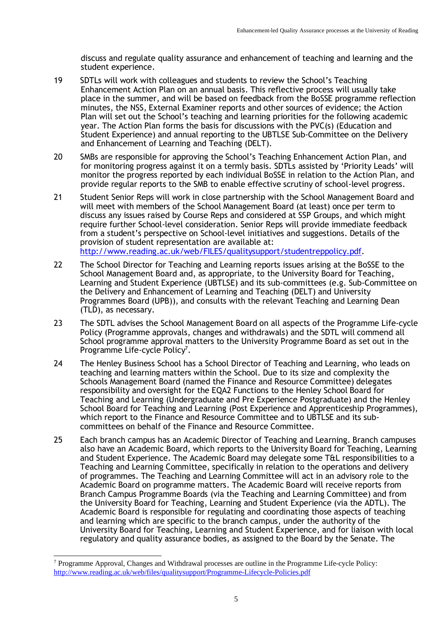discuss and regulate quality assurance and enhancement of teaching and learning and the student experience.

- 19 SDTLs will work with colleagues and students to review the School's Teaching Enhancement Action Plan on an annual basis. This reflective process will usually take place in the summer, and will be based on feedback from the BoSSE programme reflection minutes, the NSS, External Examiner reports and other sources of evidence; the Action Plan will set out the School's teaching and learning priorities for the following academic year. The Action Plan forms the basis for discussions with the PVC(s) (Education and Student Experience) and annual reporting to the UBTLSE Sub-Committee on the Delivery and Enhancement of Learning and Teaching (DELT).
- 20 SMBs are responsible for approving the School's Teaching Enhancement Action Plan, and for monitoring progress against it on a termly basis. SDTLs assisted by 'Priority Leads' will monitor the progress reported by each individual BoSSE in relation to the Action Plan, and provide regular reports to the SMB to enable effective scrutiny of school-level progress.
- 21 Student Senior Reps will work in close partnership with the School Management Board and will meet with members of the School Management Board (at least) once per term to discuss any issues raised by Course Reps and considered at SSP Groups, and which might require further School-level consideration. Senior Reps will provide immediate feedback from a student's perspective on School-level initiatives and suggestions. Details of the provision of student representation are available at: [http://www.reading.ac.uk/web/FILES/qualitysupport/studentreppolicy.pdf.](http://www.reading.ac.uk/web/FILES/qualitysupport/studentreppolicy.pdf)
- 22 The School Director for Teaching and Learning reports issues arising at the BoSSE to the School Management Board and, as appropriate, to the University Board for Teaching, Learning and Student Experience (UBTLSE) and its sub-committees (e.g. Sub-Committee on the Delivery and Enhancement of Learning and Teaching (DELT) and University Programmes Board (UPB)), and consults with the relevant Teaching and Learning Dean (TLD), as necessary.
- 23 The SDTL advises the School Management Board on all aspects of the Programme Life-cycle Policy (Programme approvals, changes and withdrawals) and the SDTL will commend all School programme approval matters to the University Programme Board as set out in the Programme Life-cycle Policy<sup>7</sup>.
- 24 The Henley Business School has a School Director of Teaching and Learning, who leads on teaching and learning matters within the School. Due to its size and complexity the Schools Management Board (named the Finance and Resource Committee) delegates responsibility and oversight for the EQA2 Functions to the Henley School Board for Teaching and Learning (Undergraduate and Pre Experience Postgraduate) and the Henley School Board for Teaching and Learning (Post Experience and Apprenticeship Programmes), which report to the Finance and Resource Committee and to UBTLSE and its subcommittees on behalf of the Finance and Resource Committee.
- 25 Each branch campus has an Academic Director of Teaching and Learning. Branch campuses also have an Academic Board, which reports to the University Board for Teaching, Learning and Student Experience. The Academic Board may delegate some T&L responsibilities to a Teaching and Learning Committee, specifically in relation to the operations and delivery of programmes. The Teaching and Learning Committee will act in an advisory role to the Academic Board on programme matters. The Academic Board will receive reports from Branch Campus Programme Boards (via the Teaching and Learning Committee) and from the University Board for Teaching, Learning and Student Experience (via the ADTL). The Academic Board is responsible for regulating and coordinating those aspects of teaching and learning which are specific to the branch campus, under the authority of the University Board for Teaching, Learning and Student Experience, and for liaison with local regulatory and quality assurance bodies, as assigned to the Board by the Senate. The

<sup>7</sup> Programme Approval, Changes and Withdrawal processes are outline in the Programme Life-cycle Policy: <http://www.reading.ac.uk/web/files/qualitysupport/Programme-Lifecycle-Policies.pdf>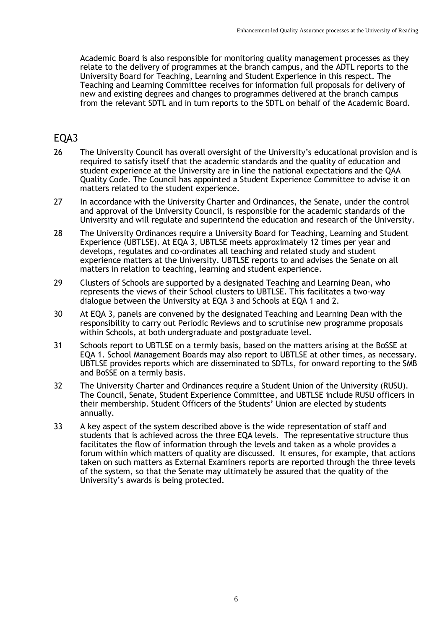Academic Board is also responsible for monitoring quality management processes as they relate to the delivery of programmes at the branch campus, and the ADTL reports to the University Board for Teaching, Learning and Student Experience in this respect. The Teaching and Learning Committee receives for information full proposals for delivery of new and existing degrees and changes to programmes delivered at the branch campus from the relevant SDTL and in turn reports to the SDTL on behalf of the Academic Board.

### EQA3

- 26 The University Council has overall oversight of the University's educational provision and is required to satisfy itself that the academic standards and the quality of education and student experience at the University are in line the national expectations and the QAA Quality Code. The Council has appointed a Student Experience Committee to advise it on matters related to the student experience.
- 27 In accordance with the University Charter and Ordinances, the Senate, under the control and approval of the University Council, is responsible for the academic standards of the University and will regulate and superintend the education and research of the University.
- 28 The University Ordinances require a University Board for Teaching, Learning and Student Experience (UBTLSE). At EQA 3, UBTLSE meets approximately 12 times per year and develops, regulates and co-ordinates all teaching and related study and student experience matters at the University. UBTLSE reports to and advises the Senate on all matters in relation to teaching, learning and student experience.
- 29 Clusters of Schools are supported by a designated Teaching and Learning Dean, who represents the views of their School clusters to UBTLSE. This facilitates a two-way dialogue between the University at EQA 3 and Schools at EQA 1 and 2.
- 30 At EQA 3, panels are convened by the designated Teaching and Learning Dean with the responsibility to carry out Periodic Reviews and to scrutinise new programme proposals within Schools, at both undergraduate and postgraduate level.
- 31 Schools report to UBTLSE on a termly basis, based on the matters arising at the BoSSE at EQA 1. School Management Boards may also report to UBTLSE at other times, as necessary. UBTLSE provides reports which are disseminated to SDTLs, for onward reporting to the SMB and BoSSE on a termly basis.
- 32 The University Charter and Ordinances require a Student Union of the University (RUSU). The Council, Senate, Student Experience Committee, and UBTLSE include RUSU officers in their membership. Student Officers of the Students' Union are elected by students annually.
- 33 A key aspect of the system described above is the wide representation of staff and students that is achieved across the three EQA levels. The representative structure thus facilitates the flow of information through the levels and taken as a whole provides a forum within which matters of quality are discussed. It ensures, for example, that actions taken on such matters as External Examiners reports are reported through the three levels of the system, so that the Senate may ultimately be assured that the quality of the University's awards is being protected.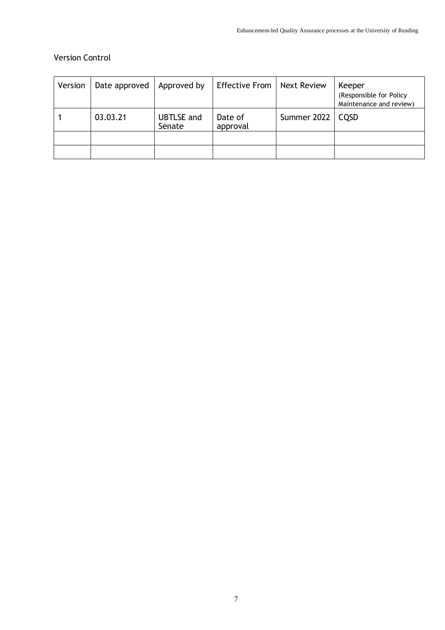#### Version Control

| Version | Date approved | Approved by                 | Effective From      | <b>Next Review</b> | Keeper<br>(Responsible for Policy<br>Maintenance and review) |
|---------|---------------|-----------------------------|---------------------|--------------------|--------------------------------------------------------------|
|         | 03.03.21      | <b>UBTLSE</b> and<br>Senate | Date of<br>approval | Summer 2022        | CQSD                                                         |
|         |               |                             |                     |                    |                                                              |
|         |               |                             |                     |                    |                                                              |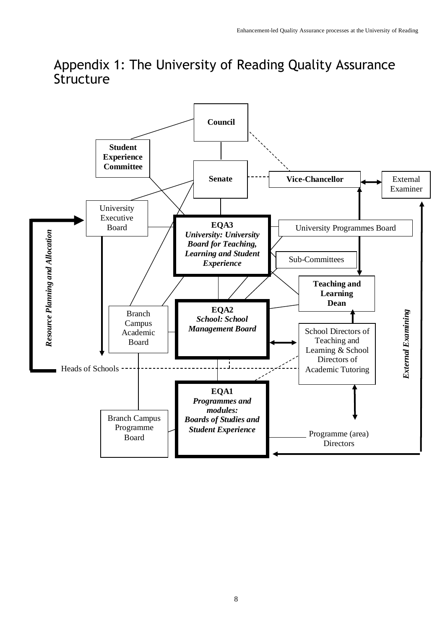# Appendix 1: The University of Reading Quality Assurance Structure

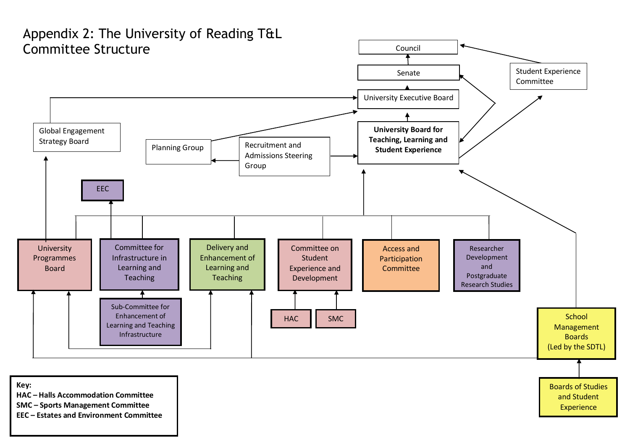

**EEC – Estates and Environment Committee**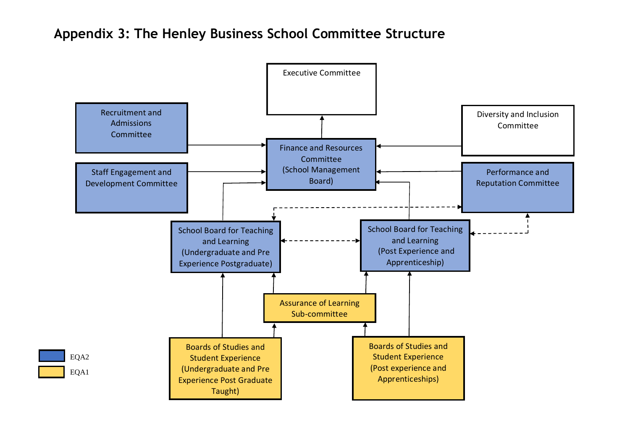# **Appendix 3: The Henley Business School Committee Structure**

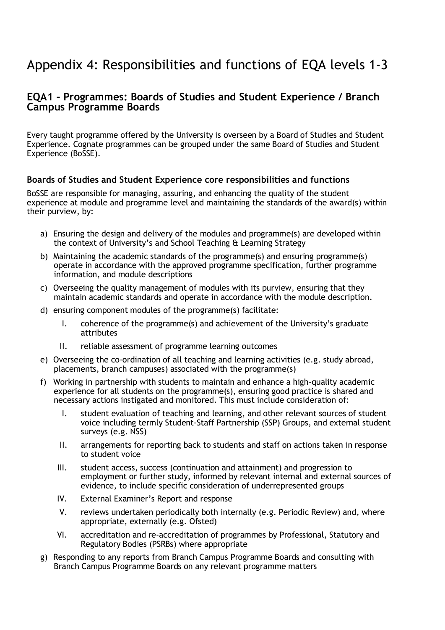# Appendix 4: Responsibilities and functions of EQA levels 1-3

### **EQA1 – Programmes: Boards of Studies and Student Experience / Branch Campus Programme Boards**

Every taught programme offered by the University is overseen by a Board of Studies and Student Experience. Cognate programmes can be grouped under the same Board of Studies and Student Experience (BoSSE).

#### **Boards of Studies and Student Experience core responsibilities and functions**

BoSSE are responsible for managing, assuring, and enhancing the quality of the student experience at module and programme level and maintaining the standards of the award(s) within their purview, by:

- a) Ensuring the design and delivery of the modules and programme(s) are developed within the context of University's and School Teaching & Learning Strategy
- b) Maintaining the academic standards of the programme(s) and ensuring programme(s) operate in accordance with the approved programme specification, further programme information, and module descriptions
- c) Overseeing the quality management of modules with its purview, ensuring that they maintain academic standards and operate in accordance with the module description.
- d) ensuring component modules of the programme(s) facilitate:
	- I. coherence of the programme(s) and achievement of the University's graduate attributes
	- II. reliable assessment of programme learning outcomes
- e) Overseeing the co-ordination of all teaching and learning activities (e.g. study abroad, placements, branch campuses) associated with the programme(s)
- f) Working in partnership with students to maintain and enhance a high-quality academic experience for all students on the programme(s), ensuring good practice is shared and necessary actions instigated and monitored. This must include consideration of:
	- I. student evaluation of teaching and learning, and other relevant sources of student voice including termly Student-Staff Partnership (SSP) Groups, and external student surveys (e.g. NSS)
	- II. arrangements for reporting back to students and staff on actions taken in response to student voice
	- III. student access, success (continuation and attainment) and progression to employment or further study, informed by relevant internal and external sources of evidence, to include specific consideration of underrepresented groups
	- IV. External Examiner's Report and response
	- V. reviews undertaken periodically both internally (e.g. Periodic Review) and, where appropriate, externally (e.g. Ofsted)
	- VI. accreditation and re-accreditation of programmes by Professional, Statutory and Regulatory Bodies (PSRBs) where appropriate
- g) Responding to any reports from Branch Campus Programme Boards and consulting with Branch Campus Programme Boards on any relevant programme matters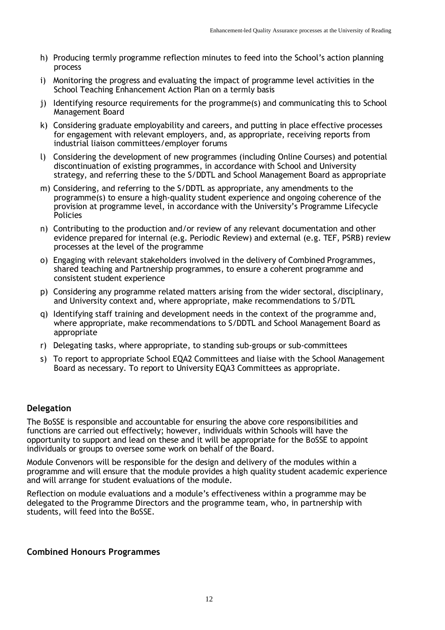- h) Producing termly programme reflection minutes to feed into the School's action planning process
- i) Monitoring the progress and evaluating the impact of programme level activities in the School Teaching Enhancement Action Plan on a termly basis
- j) Identifying resource requirements for the programme(s) and communicating this to School Management Board
- k) Considering graduate employability and careers, and putting in place effective processes for engagement with relevant employers, and, as appropriate, receiving reports from industrial liaison committees/employer forums
- l) Considering the development of new programmes (including Online Courses) and potential discontinuation of existing programmes, in accordance with School and University strategy, and referring these to the S/DDTL and School Management Board as appropriate
- m) Considering, and referring to the S/DDTL as appropriate, any amendments to the programme(s) to ensure a high-quality student experience and ongoing coherence of the provision at programme level, in accordance with the University's Programme Lifecycle Policies
- n) Contributing to the production and/or review of any relevant documentation and other evidence prepared for internal (e.g. Periodic Review) and external (e.g. TEF, PSRB) review processes at the level of the programme
- o) Engaging with relevant stakeholders involved in the delivery of Combined Programmes, shared teaching and Partnership programmes, to ensure a coherent programme and consistent student experience
- p) Considering any programme related matters arising from the wider sectoral, disciplinary, and University context and, where appropriate, make recommendations to S/DTL
- q) Identifying staff training and development needs in the context of the programme and, where appropriate, make recommendations to S/DDTL and School Management Board as appropriate
- r) Delegating tasks, where appropriate, to standing sub-groups or sub-committees
- s) To report to appropriate School EQA2 Committees and liaise with the School Management Board as necessary. To report to University EQA3 Committees as appropriate.

#### **Delegation**

The BoSSE is responsible and accountable for ensuring the above core responsibilities and functions are carried out effectively; however, individuals within Schools will have the opportunity to support and lead on these and it will be appropriate for the BoSSE to appoint individuals or groups to oversee some work on behalf of the Board.

Module Convenors will be responsible for the design and delivery of the modules within a programme and will ensure that the module provides a high quality student academic experience and will arrange for student evaluations of the module.

Reflection on module evaluations and a module's effectiveness within a programme may be delegated to the Programme Directors and the programme team, who, in partnership with students, will feed into the BoSSE.

#### **Combined Honours Programmes**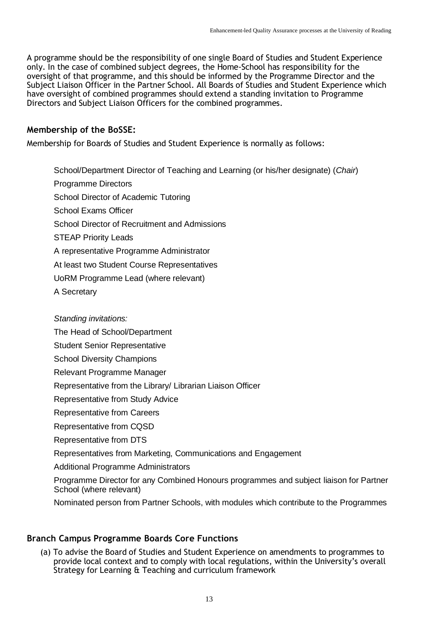A programme should be the responsibility of one single Board of Studies and Student Experience only. In the case of combined subject degrees, the Home-School has responsibility for the oversight of that programme, and this should be informed by the Programme Director and the Subject Liaison Officer in the Partner School. All Boards of Studies and Student Experience which have oversight of combined programmes should extend a standing invitation to Programme Directors and Subject Liaison Officers for the combined programmes.

#### **Membership of the BoSSE:**

Membership for Boards of Studies and Student Experience is normally as follows:

School/Department Director of Teaching and Learning (or his/her designate) (*Chair*) Programme Directors School Director of Academic Tutoring School Exams Officer School Director of Recruitment and Admissions STEAP Priority Leads A representative Programme Administrator At least two Student Course Representatives UoRM Programme Lead (where relevant) A Secretary

#### *Standing invitations:*

The Head of School/Department

Student Senior Representative

School Diversity Champions

Relevant Programme Manager

Representative from the Library/ Librarian Liaison Officer

Representative from Study Advice

Representative from Careers

Representative from CQSD

Representative from DTS

Representatives from Marketing, Communications and Engagement

Additional Programme Administrators

Programme Director for any Combined Honours programmes and subject liaison for Partner School (where relevant)

Nominated person from Partner Schools, with modules which contribute to the Programmes

#### **Branch Campus Programme Boards Core Functions**

(a) To advise the Board of Studies and Student Experience on amendments to programmes to provide local context and to comply with local regulations, within the University's overall Strategy for Learning & Teaching and curriculum framework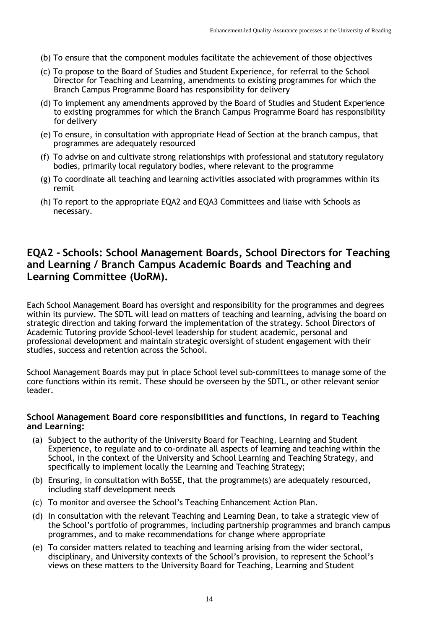- (b) To ensure that the component modules facilitate the achievement of those objectives
- (c) To propose to the Board of Studies and Student Experience, for referral to the School Director for Teaching and Learning, amendments to existing programmes for which the Branch Campus Programme Board has responsibility for delivery
- (d) To implement any amendments approved by the Board of Studies and Student Experience to existing programmes for which the Branch Campus Programme Board has responsibility for delivery
- (e) To ensure, in consultation with appropriate Head of Section at the branch campus, that programmes are adequately resourced
- (f) To advise on and cultivate strong relationships with professional and statutory regulatory bodies, primarily local regulatory bodies, where relevant to the programme
- (g) To coordinate all teaching and learning activities associated with programmes within its remit
- (h) To report to the appropriate EQA2 and EQA3 Committees and liaise with Schools as necessary.

### **EQA2 – Schools: School Management Boards, School Directors for Teaching and Learning / Branch Campus Academic Boards and Teaching and Learning Committee (UoRM).**

Each School Management Board has oversight and responsibility for the programmes and degrees within its purview. The SDTL will lead on matters of teaching and learning, advising the board on strategic direction and taking forward the implementation of the strategy. School Directors of Academic Tutoring provide School-level leadership for student academic, personal and professional development and maintain strategic oversight of student engagement with their studies, success and retention across the School.

School Management Boards may put in place School level sub-committees to manage some of the core functions within its remit. These should be overseen by the SDTL, or other relevant senior leader.

#### **School Management Board core responsibilities and functions, in regard to Teaching and Learning:**

- (a) Subject to the authority of the University Board for Teaching, Learning and Student Experience, to regulate and to co-ordinate all aspects of learning and teaching within the School, in the context of the University and School Learning and Teaching Strategy, and specifically to implement locally the Learning and Teaching Strategy;
- (b) Ensuring, in consultation with BoSSE, that the programme(s) are adequately resourced, including staff development needs
- (c) To monitor and oversee the School's Teaching Enhancement Action Plan.
- (d) In consultation with the relevant Teaching and Learning Dean, to take a strategic view of the School's portfolio of programmes, including partnership programmes and branch campus programmes, and to make recommendations for change where appropriate
- (e) To consider matters related to teaching and learning arising from the wider sectoral, disciplinary, and University contexts of the School's provision, to represent the School's views on these matters to the University Board for Teaching, Learning and Student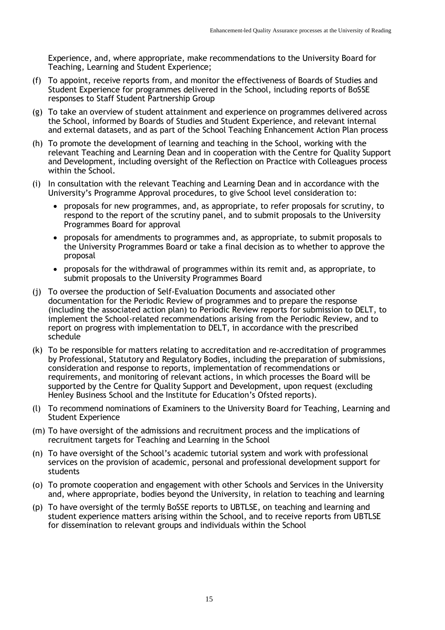Experience, and, where appropriate, make recommendations to the University Board for Teaching, Learning and Student Experience;

- (f) To appoint, receive reports from, and monitor the effectiveness of Boards of Studies and Student Experience for programmes delivered in the School, including reports of BoSSE responses to Staff Student Partnership Group
- (g) To take an overview of student attainment and experience on programmes delivered across the School, informed by Boards of Studies and Student Experience, and relevant internal and external datasets, and as part of the School Teaching Enhancement Action Plan process
- (h) To promote the development of learning and teaching in the School, working with the relevant Teaching and Learning Dean and in cooperation with the Centre for Quality Support and Development, including oversight of the Reflection on Practice with Colleagues process within the School.
- (i) In consultation with the relevant Teaching and Learning Dean and in accordance with the University's Programme Approval procedures, to give School level consideration to:
	- proposals for new programmes, and, as appropriate, to refer proposals for scrutiny, to respond to the report of the scrutiny panel, and to submit proposals to the University Programmes Board for approval
	- proposals for amendments to programmes and, as appropriate, to submit proposals to the University Programmes Board or take a final decision as to whether to approve the proposal
	- proposals for the withdrawal of programmes within its remit and, as appropriate, to submit proposals to the University Programmes Board
- (j) To oversee the production of Self-Evaluation Documents and associated other documentation for the Periodic Review of programmes and to prepare the response (including the associated action plan) to Periodic Review reports for submission to DELT, to implement the School-related recommendations arising from the Periodic Review, and to report on progress with implementation to DELT, in accordance with the prescribed schedule
- (k) To be responsible for matters relating to accreditation and re-accreditation of programmes by Professional, Statutory and Regulatory Bodies, including the preparation of submissions, consideration and response to reports, implementation of recommendations or requirements, and monitoring of relevant actions, in which processes the Board will be supported by the Centre for Quality Support and Development, upon request (excluding Henley Business School and the Institute for Education's Ofsted reports).
- (l) To recommend nominations of Examiners to the University Board for Teaching, Learning and Student Experience
- (m) To have oversight of the admissions and recruitment process and the implications of recruitment targets for Teaching and Learning in the School
- (n) To have oversight of the School's academic tutorial system and work with professional services on the provision of academic, personal and professional development support for students
- (o) To promote cooperation and engagement with other Schools and Services in the University and, where appropriate, bodies beyond the University, in relation to teaching and learning
- (p) To have oversight of the termly BoSSE reports to UBTLSE, on teaching and learning and student experience matters arising within the School, and to receive reports from UBTLSE for dissemination to relevant groups and individuals within the School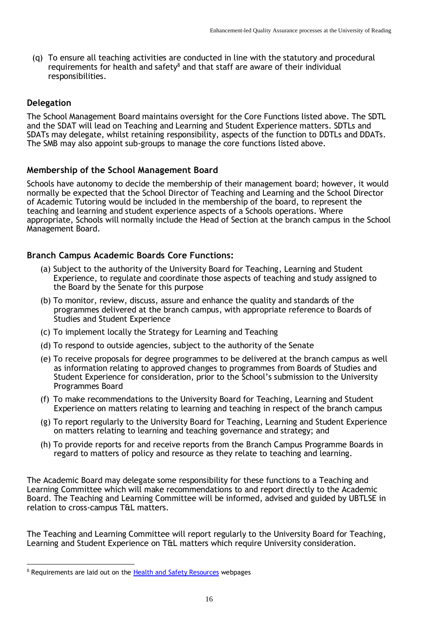(q) To ensure all teaching activities are conducted in line with the statutory and procedural requirements for health and safety $^8$  and that staff are aware of their individual responsibilities.

#### **Delegation**

The School Management Board maintains oversight for the Core Functions listed above. The SDTL and the SDAT will lead on Teaching and Learning and Student Experience matters. SDTLs and SDATs may delegate, whilst retaining responsibility, aspects of the function to DDTLs and DDATs. The SMB may also appoint sub-groups to manage the core functions listed above.

#### **Membership of the School Management Board**

Schools have autonomy to decide the membership of their management board; however, it would normally be expected that the School Director of Teaching and Learning and the School Director of Academic Tutoring would be included in the membership of the board, to represent the teaching and learning and student experience aspects of a Schools operations. Where appropriate, Schools will normally include the Head of Section at the branch campus in the School Management Board.

#### **Branch Campus Academic Boards Core Functions:**

- (a) Subject to the authority of the University Board for Teaching, Learning and Student Experience, to regulate and coordinate those aspects of teaching and study assigned to the Board by the Senate for this purpose
- (b) To monitor, review, discuss, assure and enhance the quality and standards of the programmes delivered at the branch campus, with appropriate reference to Boards of Studies and Student Experience
- (c) To implement locally the Strategy for Learning and Teaching
- (d) To respond to outside agencies, subject to the authority of the Senate
- (e) To receive proposals for degree programmes to be delivered at the branch campus as well as information relating to approved changes to programmes from Boards of Studies and Student Experience for consideration, prior to the School's submission to the University Programmes Board
- (f) To make recommendations to the University Board for Teaching, Learning and Student Experience on matters relating to learning and teaching in respect of the branch campus
- (g) To report regularly to the University Board for Teaching, Learning and Student Experience on matters relating to learning and teaching governance and strategy; and
- (h) To provide reports for and receive reports from the Branch Campus Programme Boards in regard to matters of policy and resource as they relate to teaching and learning.

The Academic Board may delegate some responsibility for these functions to a Teaching and Learning Committee which will make recommendations to and report directly to the Academic Board. The Teaching and Learning Committee will be informed, advised and guided by UBTLSE in relation to cross-campus T&L matters.

The Teaching and Learning Committee will report regularly to the University Board for Teaching, Learning and Student Experience on T&L matters which require University consideration.

<sup>&</sup>lt;sup>8</sup> Requirements are laid out on the **Health and [Safety Resources](http://www.reading.ac.uk/internal/health-and-safety/resources/hs-resources-guidance.aspx)** webpages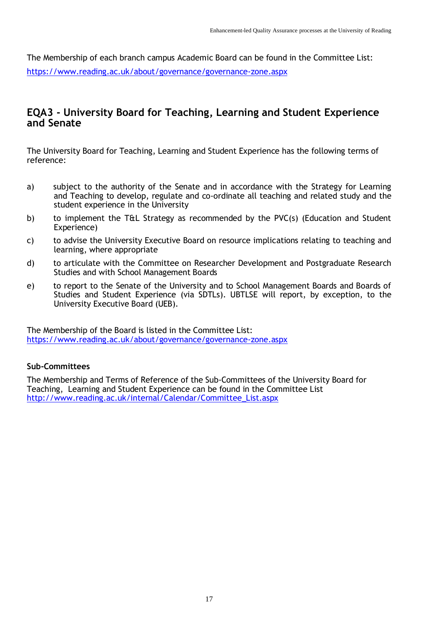The Membership of each branch campus Academic Board can be found in the Committee List: <https://www.reading.ac.uk/about/governance/governance-zone.aspx>

### **EQA3 - University Board for Teaching, Learning and Student Experience and Senate**

The University Board for Teaching, Learning and Student Experience has the following terms of reference:

- a) subject to the authority of the Senate and in accordance with the Strategy for Learning and Teaching to develop, regulate and co-ordinate all teaching and related study and the student experience in the University
- b) to implement the T&L Strategy as recommended by the PVC(s) (Education and Student Experience)
- c) to advise the University Executive Board on resource implications relating to teaching and learning, where appropriate
- d) to articulate with the Committee on Researcher Development and Postgraduate Research Studies and with School Management Boards
- e) to report to the Senate of the University and to School Management Boards and Boards of Studies and Student Experience (via SDTLs). UBTLSE will report, by exception, to the University Executive Board (UEB).

The Membership of the Board is listed in the Committee List: <https://www.reading.ac.uk/about/governance/governance-zone.aspx>

#### **Sub-Committees**

The Membership and Terms of Reference of the Sub-Committees of the University Board for Teaching, Learning and Student Experience can be found in the Committee List [http://www.reading.ac.uk/internal/Calendar/Committee\\_List.aspx](http://www.reading.ac.uk/internal/Calendar/Committee_List.aspx)